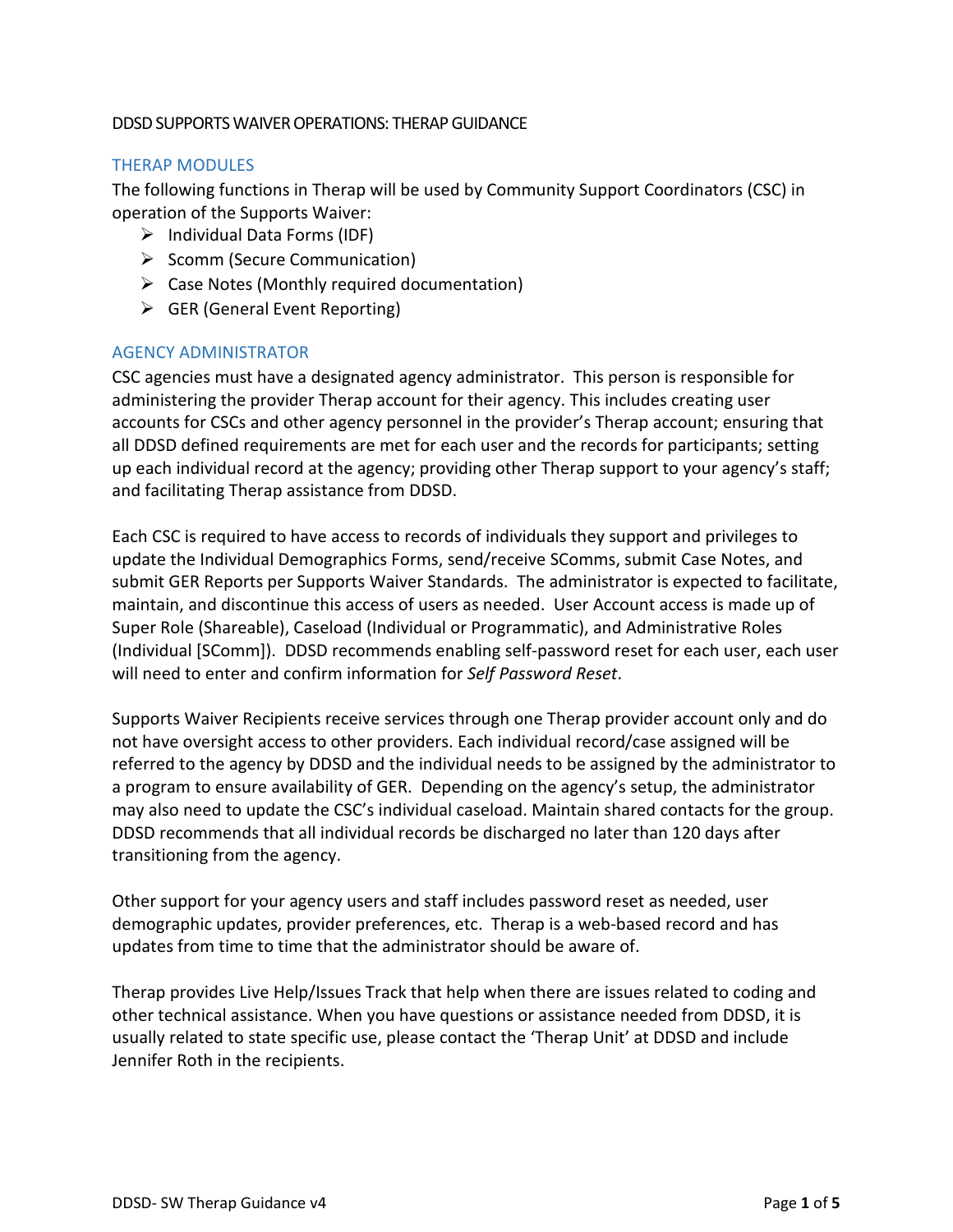## DDSD SUPPORTS WAIVER OPERATIONS: THERAP GUIDANCE

## THERAP MODULES

The following functions in Therap will be used by Community Support Coordinators (CSC) in operation of the Supports Waiver:

- $\triangleright$  Individual Data Forms (IDF)
- $\triangleright$  Scomm (Secure Communication)
- $\triangleright$  Case Notes (Monthly required documentation)
- $\triangleright$  GER (General Event Reporting)

## AGENCY ADMINISTRATOR

CSC agencies must have a designated agency administrator. This person is responsible for administering the provider Therap account for their agency. This includes creating user accounts for CSCs and other agency personnel in the provider's Therap account; ensuring that all DDSD defined requirements are met for each user and the records for participants; setting up each individual record at the agency; providing other Therap support to your agency's staff; and facilitating Therap assistance from DDSD.

Each CSC is required to have access to records of individuals they support and privileges to update the Individual Demographics Forms, send/receive SComms, submit Case Notes, and submit GER Reports per Supports Waiver Standards. The administrator is expected to facilitate, maintain, and discontinue this access of users as needed. User Account access is made up of Super Role (Shareable), Caseload (Individual or Programmatic), and Administrative Roles (Individual [SComm]). DDSD recommends enabling self-password reset for each user, each user will need to enter and confirm information for *Self Password Reset*.

Supports Waiver Recipients receive services through one Therap provider account only and do not have oversight access to other providers. Each individual record/case assigned will be referred to the agency by DDSD and the individual needs to be assigned by the administrator to a program to ensure availability of GER. Depending on the agency's setup, the administrator may also need to update the CSC's individual caseload. Maintain shared contacts for the group. DDSD recommends that all individual records be discharged no later than 120 days after transitioning from the agency.

Other support for your agency users and staff includes password reset as needed, user demographic updates, provider preferences, etc. Therap is a web-based record and has updates from time to time that the administrator should be aware of.

Therap provides Live Help/Issues Track that help when there are issues related to coding and other technical assistance. When you have questions or assistance needed from DDSD, it is usually related to state specific use, please contact the 'Therap Unit' at DDSD and include Jennifer Roth in the recipients.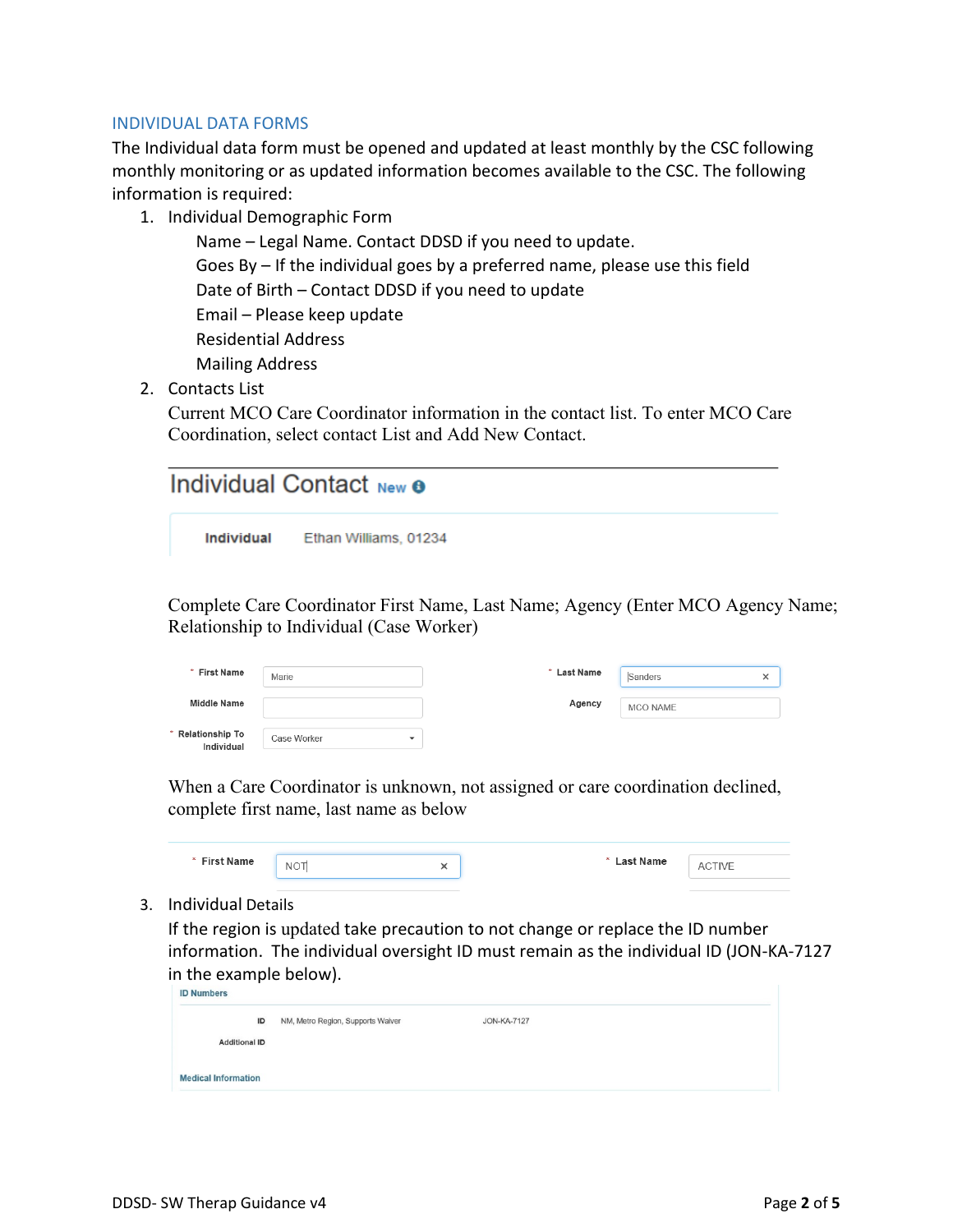#### INDIVIDUAL DATA FORMS

The Individual data form must be opened and updated at least monthly by the CSC following monthly monitoring or as updated information becomes available to the CSC. The following information is required:

1. Individual Demographic Form

Name – Legal Name. Contact DDSD if you need to update. Goes By – If the individual goes by a preferred name, please use this field Date of Birth – Contact DDSD if you need to update Email – Please keep update Residential Address Mailing Address

2. Contacts List

Current MCO Care Coordinator information in the contact list. To enter MCO Care Coordination, select contact List and Add New Contact.

| Individual Contact New <b>o</b> |                       |  |  |  |
|---------------------------------|-----------------------|--|--|--|
| Individual                      | Ethan Williams, 01234 |  |  |  |

Complete Care Coordinator First Name, Last Name; Agency (Enter MCO Agency Name; Relationship to Individual (Case Worker)

| * First Name                         | Marie                                   | * Last Name | Sanders  | $\check{ }$ |
|--------------------------------------|-----------------------------------------|-------------|----------|-------------|
| <b>Middle Name</b>                   |                                         | Agency      | MCO NAME |             |
| <b>Relationship To</b><br>Individual | Case Worker<br>$\overline{\phantom{a}}$ |             |          |             |

When a Care Coordinator is unknown, not assigned or care coordination declined, complete first name, last name as below

| * First Name<br>---------- | <b>NOT</b> | ∽ | <b>Last Name</b><br>$\star$<br>___________ | A۱ |
|----------------------------|------------|---|--------------------------------------------|----|
|                            |            |   |                                            |    |

3. Individual Details

If the region is updated take precaution to not change or replace the ID number information. The individual oversight ID must remain as the individual ID (JON-KA-7127 in the example below).<br> $\Box$  D Numbers

| ID                         | NM, Metro Region, Supports Waiver | <b>JON-KA-7127</b> |  |
|----------------------------|-----------------------------------|--------------------|--|
| <b>Additional ID</b>       |                                   |                    |  |
| <b>Medical Information</b> |                                   |                    |  |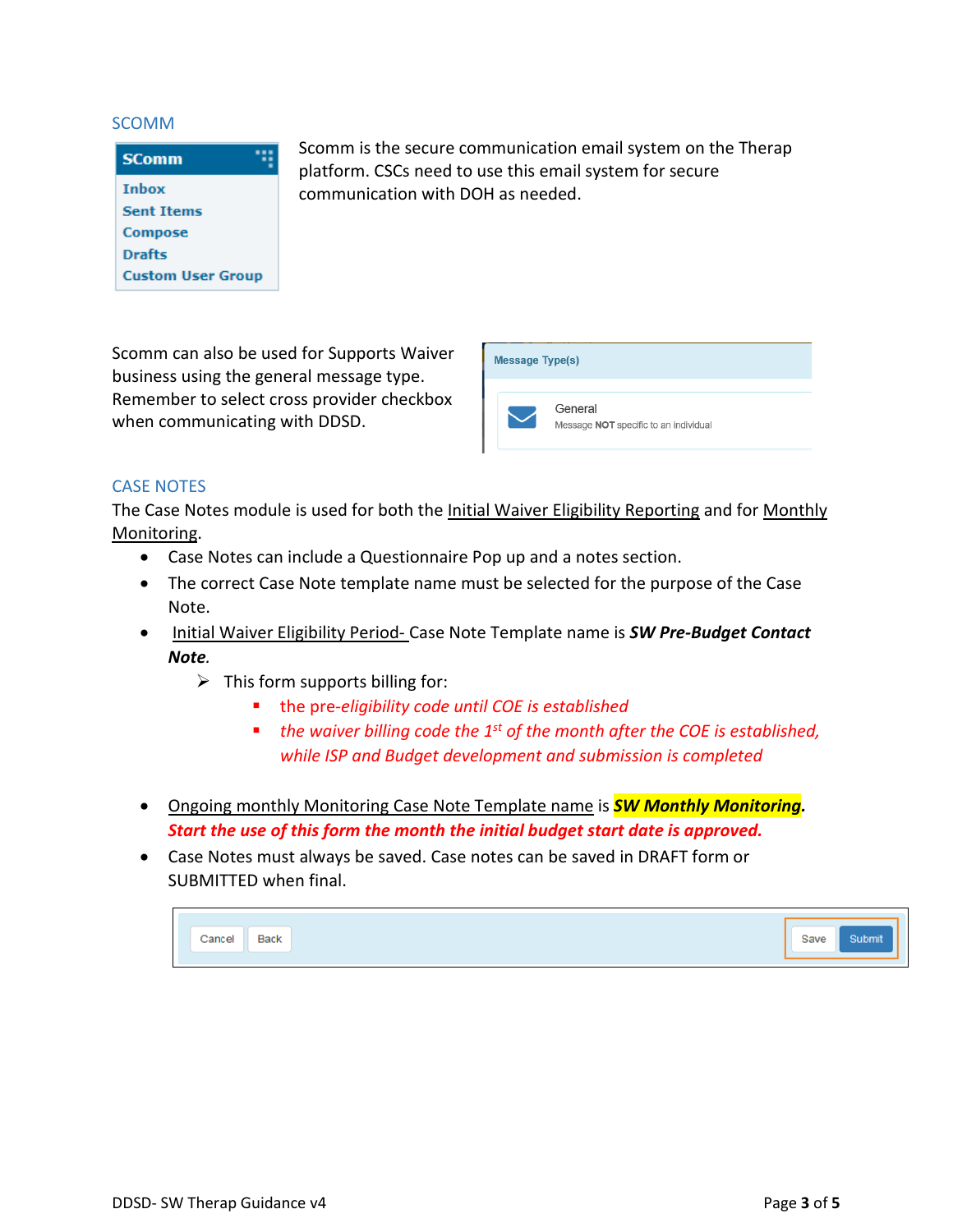#### SCOMM

| <b>SComm</b>             |  |  |
|--------------------------|--|--|
| <b>Inbox</b>             |  |  |
| <b>Sent Trems</b>        |  |  |
| <b>Compose</b>           |  |  |
| <b>Drafts</b>            |  |  |
| <b>Custom User Group</b> |  |  |

Scomm is the secure communication email system on the Therap platform. CSCs need to use this email system for secure communication with DOH as needed.

Scomm can also be used for Supports Waiver business using the general message type. Remember to select cross provider checkbox when communicating with DDSD.



## CASE NOTES

The Case Notes module is used for both the *Initial Waiver Eligibility Reporting and for Monthly* Monitoring.

- Case Notes can include a Questionnaire Pop up and a notes section.
- The correct Case Note template name must be selected for the purpose of the Case Note.
- Initial Waiver Eligibility Period- Case Note Template name is *SW Pre-Budget Contact Note.*
	- $\triangleright$  This form supports billing for:
		- the pre*-eligibility code until COE is established*
		- *the waiver billing code the 1<sup>st</sup> of the month after the COE is established, while ISP and Budget development and submission is completed*
- Ongoing monthly Monitoring Case Note Template name is *SW Monthly Monitoring. Start the use of this form the month the initial budget start date is approved.*
- Case Notes must always be saved. Case notes can be saved in DRAFT form or SUBMITTED when final.

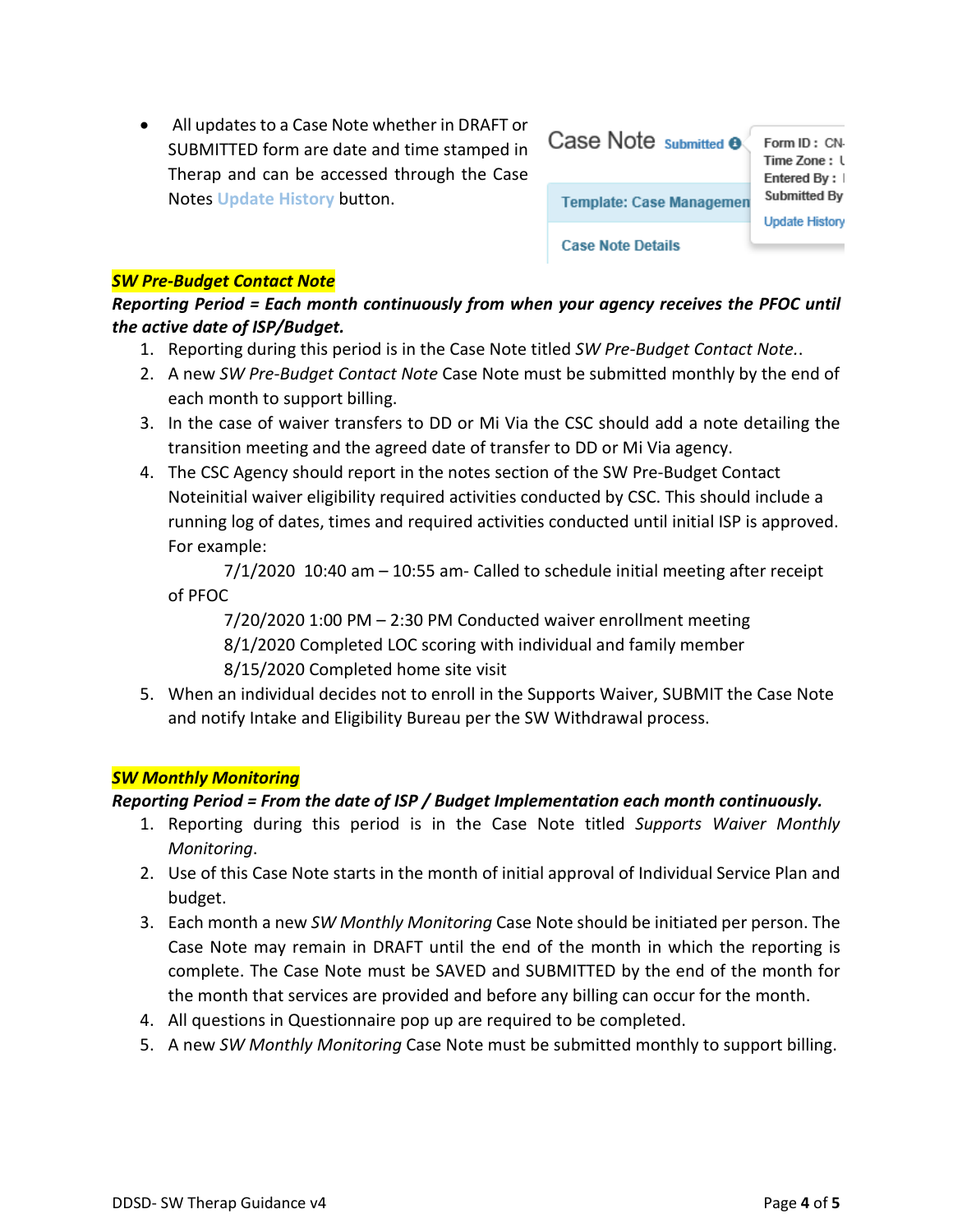• All updates to a Case Note whether in DRAFT or SUBMITTED form are date and time stamped in Therap and can be accessed through the Case Notes **Update History** button.

| Case Note submitted <b>o</b>    | Form ID: CN-<br>Time Zone: l<br>Entered By: |
|---------------------------------|---------------------------------------------|
| <b>Template: Case Managemen</b> | Submitted By                                |
| <b>Case Note Details</b>        | <b>Update History</b>                       |

#### *SW Pre-Budget Contact Note*

*Reporting Period = Each month continuously from when your agency receives the PFOC until the active date of ISP/Budget.*

- 1. Reporting during this period is in the Case Note titled *SW Pre-Budget Contact Note.*.
- 2. A new *SW Pre-Budget Contact Note* Case Note must be submitted monthly by the end of each month to support billing.
- 3. In the case of waiver transfers to DD or Mi Via the CSC should add a note detailing the transition meeting and the agreed date of transfer to DD or Mi Via agency.
- 4. The CSC Agency should report in the notes section of the SW Pre-Budget Contact Noteinitial waiver eligibility required activities conducted by CSC. This should include a running log of dates, times and required activities conducted until initial ISP is approved. For example:

7/1/2020 10:40 am – 10:55 am- Called to schedule initial meeting after receipt of PFOC

7/20/2020 1:00 PM – 2:30 PM Conducted waiver enrollment meeting 8/1/2020 Completed LOC scoring with individual and family member 8/15/2020 Completed home site visit

5. When an individual decides not to enroll in the Supports Waiver, SUBMIT the Case Note and notify Intake and Eligibility Bureau per the SW Withdrawal process.

## *SW Monthly Monitoring*

## *Reporting Period = From the date of ISP / Budget Implementation each month continuously.*

- 1. Reporting during this period is in the Case Note titled *Supports Waiver Monthly Monitoring*.
- 2. Use of this Case Note starts in the month of initial approval of Individual Service Plan and budget.
- 3. Each month a new *SW Monthly Monitoring* Case Note should be initiated per person. The Case Note may remain in DRAFT until the end of the month in which the reporting is complete. The Case Note must be SAVED and SUBMITTED by the end of the month for the month that services are provided and before any billing can occur for the month.
- 4. All questions in Questionnaire pop up are required to be completed.
- 5. A new *SW Monthly Monitoring* Case Note must be submitted monthly to support billing.